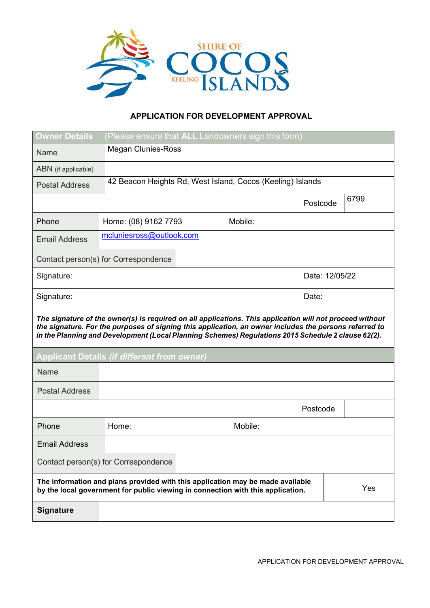

## **APPLICATION FOR DEVELOPMENT APPROVAL**

| <b>Owner Details</b>                                                                                                                                                                                                                                                                                                     | (Please ensure that ALL Landowners sign this form)         |         |          |                |  |  |  |  |
|--------------------------------------------------------------------------------------------------------------------------------------------------------------------------------------------------------------------------------------------------------------------------------------------------------------------------|------------------------------------------------------------|---------|----------|----------------|--|--|--|--|
| Name                                                                                                                                                                                                                                                                                                                     | <b>Megan Clunies-Ross</b>                                  |         |          |                |  |  |  |  |
| ABN (if applicable)                                                                                                                                                                                                                                                                                                      |                                                            |         |          |                |  |  |  |  |
| <b>Postal Address</b>                                                                                                                                                                                                                                                                                                    | 42 Beacon Heights Rd, West Island, Cocos (Keeling) Islands |         |          |                |  |  |  |  |
|                                                                                                                                                                                                                                                                                                                          |                                                            |         | Postcode | 6799           |  |  |  |  |
| Phone                                                                                                                                                                                                                                                                                                                    | Home: (08) 9162 7793                                       | Mobile: |          |                |  |  |  |  |
| <b>Email Address</b>                                                                                                                                                                                                                                                                                                     | mcluniesross@outlook.com                                   |         |          |                |  |  |  |  |
| Contact person(s) for Correspondence                                                                                                                                                                                                                                                                                     |                                                            |         |          |                |  |  |  |  |
| Signature:                                                                                                                                                                                                                                                                                                               |                                                            |         |          | Date: 12/05/22 |  |  |  |  |
| Signature:                                                                                                                                                                                                                                                                                                               |                                                            |         |          | Date:          |  |  |  |  |
| The signature of the owner(s) is required on all applications. This application will not proceed without<br>the signature. For the purposes of signing this application, an owner includes the persons referred to<br>in the Planning and Development (Local Planning Schemes) Regulations 2015 Schedule 2 clause 62(2). |                                                            |         |          |                |  |  |  |  |
| <b>Applicant Details (if different from owner)</b>                                                                                                                                                                                                                                                                       |                                                            |         |          |                |  |  |  |  |
| Name                                                                                                                                                                                                                                                                                                                     |                                                            |         |          |                |  |  |  |  |
| <b>Postal Address</b>                                                                                                                                                                                                                                                                                                    |                                                            |         |          |                |  |  |  |  |
|                                                                                                                                                                                                                                                                                                                          |                                                            |         | Postcode |                |  |  |  |  |
| Phone                                                                                                                                                                                                                                                                                                                    | Home:                                                      | Mobile: |          |                |  |  |  |  |
| <b>Email Address</b>                                                                                                                                                                                                                                                                                                     |                                                            |         |          |                |  |  |  |  |
| Contact person(s) for Correspondence                                                                                                                                                                                                                                                                                     |                                                            |         |          |                |  |  |  |  |
| The information and plans provided with this application may be made available<br>Yes<br>by the local government for public viewing in connection with this application.                                                                                                                                                 |                                                            |         |          |                |  |  |  |  |
| <b>Signature</b>                                                                                                                                                                                                                                                                                                         |                                                            |         |          |                |  |  |  |  |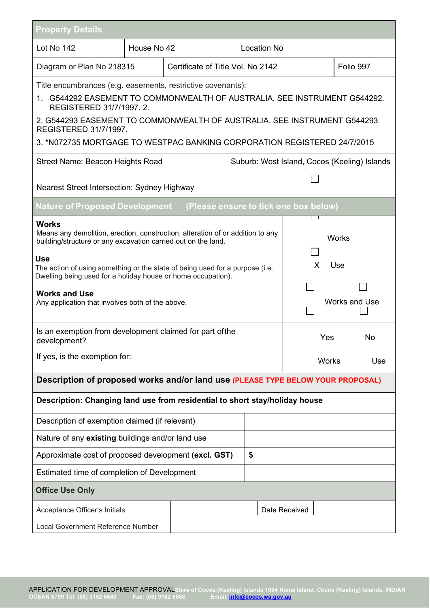| <b>Property Details</b>                                                                                                                                                                                                                                                                                                                                                                                                                                                                                                |                                   |  |  |                    |                                                                               |  |  |  |  |
|------------------------------------------------------------------------------------------------------------------------------------------------------------------------------------------------------------------------------------------------------------------------------------------------------------------------------------------------------------------------------------------------------------------------------------------------------------------------------------------------------------------------|-----------------------------------|--|--|--------------------|-------------------------------------------------------------------------------|--|--|--|--|
| Lot No 142                                                                                                                                                                                                                                                                                                                                                                                                                                                                                                             | House No 42                       |  |  | <b>Location No</b> |                                                                               |  |  |  |  |
| Diagram or Plan No 218315                                                                                                                                                                                                                                                                                                                                                                                                                                                                                              | Certificate of Title Vol. No 2142 |  |  |                    | Folio 997                                                                     |  |  |  |  |
| Title encumbrances (e.g. easements, restrictive covenants):<br>1. G544292 EASEMENT TO COMMONWEALTH OF AUSTRALIA. SEE INSTRUMENT G544292.<br>REGISTERED 31/7/1997. 2.<br>2, G544293 EASEMENT TO COMMONWEALTH OF AUSTRALIA. SEE INSTRUMENT G544293.<br><b>REGISTERED 31/7/1997.</b><br>3. *N072735 MORTGAGE TO WESTPAC BANKING CORPORATION REGISTERED 24/7/2015                                                                                                                                                          |                                   |  |  |                    |                                                                               |  |  |  |  |
| <b>Street Name: Beacon Heights Road</b><br>Suburb: West Island, Cocos (Keeling) Islands                                                                                                                                                                                                                                                                                                                                                                                                                                |                                   |  |  |                    |                                                                               |  |  |  |  |
| Nearest Street Intersection: Sydney Highway                                                                                                                                                                                                                                                                                                                                                                                                                                                                            |                                   |  |  |                    |                                                                               |  |  |  |  |
| Nature of Proposed Development<br>(Please ensure to tick one box below)                                                                                                                                                                                                                                                                                                                                                                                                                                                |                                   |  |  |                    |                                                                               |  |  |  |  |
| <b>Works</b><br>Means any demolition, erection, construction, alteration of or addition to any<br>building/structure or any excavation carried out on the land.<br><b>Use</b><br>The action of using something or the state of being used for a purpose (i.e.<br>Dwelling being used for a holiday house or home occupation).<br><b>Works and Use</b><br>Any application that involves both of the above.<br>Is an exemption from development claimed for part of the<br>development?<br>If yes, is the exemption for: |                                   |  |  |                    | Works<br>X<br>Use<br><b>Works and Use</b><br>Yes<br>No<br><b>Works</b><br>Use |  |  |  |  |
| Description of proposed works and/or land use (PLEASE TYPE BELOW YOUR PROPOSAL)                                                                                                                                                                                                                                                                                                                                                                                                                                        |                                   |  |  |                    |                                                                               |  |  |  |  |
| Description: Changing land use from residential to short stay/holiday house                                                                                                                                                                                                                                                                                                                                                                                                                                            |                                   |  |  |                    |                                                                               |  |  |  |  |
| Description of exemption claimed (if relevant)                                                                                                                                                                                                                                                                                                                                                                                                                                                                         |                                   |  |  |                    |                                                                               |  |  |  |  |
| Nature of any existing buildings and/or land use                                                                                                                                                                                                                                                                                                                                                                                                                                                                       |                                   |  |  |                    |                                                                               |  |  |  |  |
| Approximate cost of proposed development (excl. GST)                                                                                                                                                                                                                                                                                                                                                                                                                                                                   |                                   |  |  |                    |                                                                               |  |  |  |  |
| Estimated time of completion of Development                                                                                                                                                                                                                                                                                                                                                                                                                                                                            |                                   |  |  |                    |                                                                               |  |  |  |  |
| <b>Office Use Only</b>                                                                                                                                                                                                                                                                                                                                                                                                                                                                                                 |                                   |  |  |                    |                                                                               |  |  |  |  |
| Acceptance Officer's Initials                                                                                                                                                                                                                                                                                                                                                                                                                                                                                          |                                   |  |  | Date Received      |                                                                               |  |  |  |  |
| Local Government Reference Number                                                                                                                                                                                                                                                                                                                                                                                                                                                                                      |                                   |  |  |                    |                                                                               |  |  |  |  |